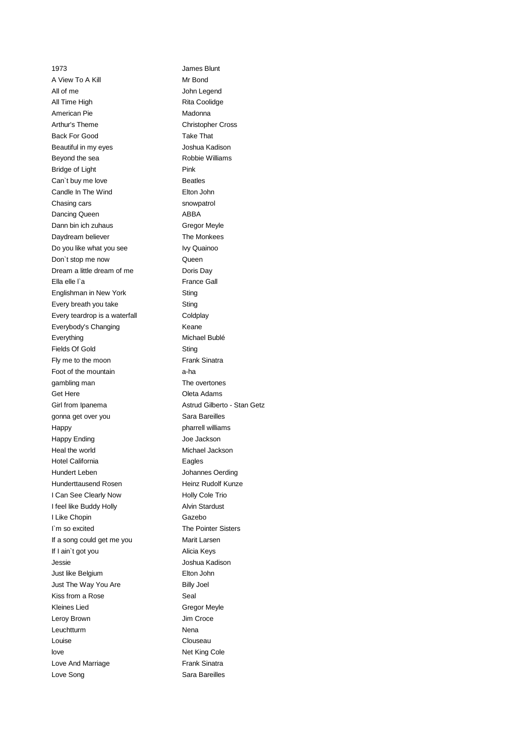1973 James Blunt A View To A Kill Mr Bond All of me John Legend All Time High **Rita Coolidge** American Pie **Madonna** Madonna Arthur's Theme Christopher Cross Back For Good Take That Beautiful in my eyes **Soutiful in my eyes** Joshua Kadison Beyond the sea Robbie Williams Bridge of Light Pink Can't buy me love **Beatles** Candle In The Wind **Elton** John Chasing cars snowpatrol Dancing Queen ABBA Dann bin ich zuhaus Gregor Meyle Daydream believer The Monkees Do you like what you see Ivy Quainoo Don't stop me now **Queen** Dream a little dream of me Doris Day Ella elle l'a France Gall Englishman in New York **Sting** Every breath you take Sting Every teardrop is a waterfall Coldplay Everybody's Changing **Keane** Everything Michael Bublé Fields Of Gold Sting Fly me to the moon Frank Sinatra Foot of the mountain a-ha gambling man The overtones Get Here **Contract Contract Contract Contract Contract Contract Contract Contract Contract Contract Contract Contract Contract Contract Contract Contract Contract Contract Contract Contract Contract Contract Contract Contr** Girl from Ipanema **Astrud Gilberto - Stan Getz** gonna get over you state and some Sara Bareilles Happy **Pharrell williams** Happy Ending The Contract of the Jackson Heal the world **Michael Jackson** Hotel California **Eagles** Hundert Leben Johannes Oerding Hunderttausend Rosen Heinz Rudolf Kunze I Can See Clearly Now Holly Cole Trio I feel like Buddy Holly **Alvin Stardust** I Like Chopin Gazebo I`m so excited The Pointer Sisters If a song could get me you Marit Larsen If I ain't got you and a set of the Alicia Keys Jessie Joshua Kadison Just like Belgium Elton John Just The Way You Are **Billy Joel** Kiss from a Rose Seal Kleines Lied Gregor Meyle Leroy Brown **International Croce** Jim Croce Leuchtturm Nena Louise Clouseau love Net King Cole Love And Marriage **Finance And Marriage** Frank Sinatra Love Song Sara Bareilles